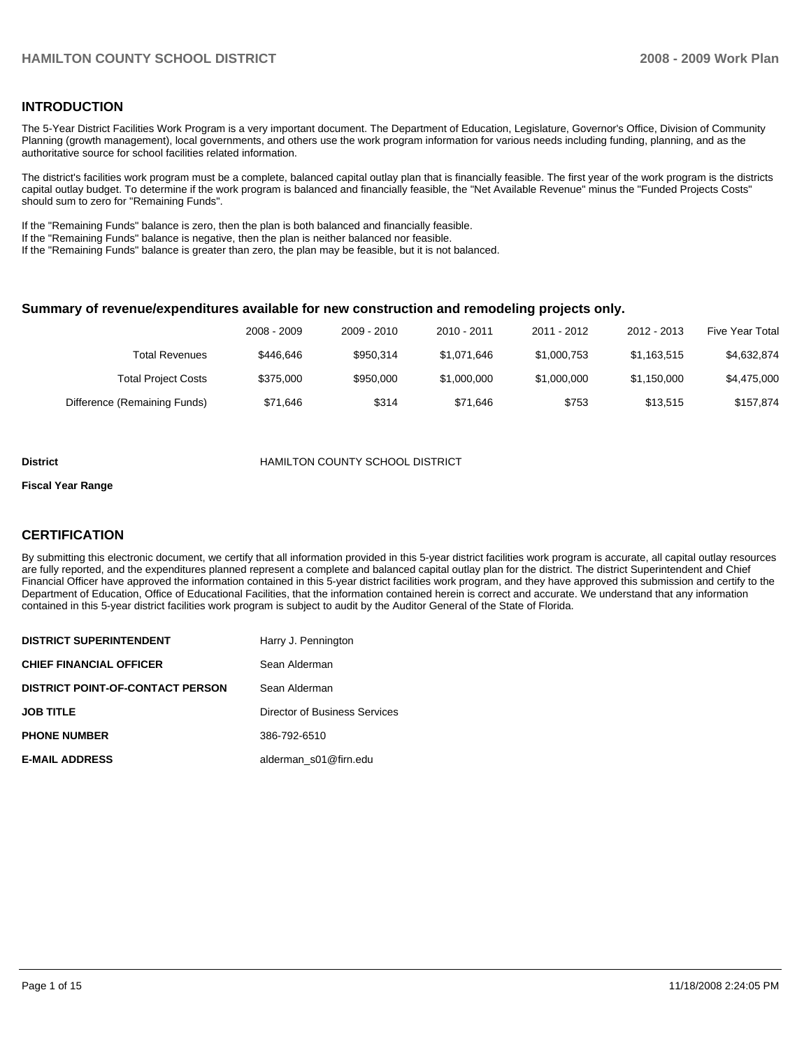### **INTRODUCTION**

The 5-Year District Facilities Work Program is a very important document. The Department of Education, Legislature, Governor's Office, Division of Community Planning (growth management), local governments, and others use the work program information for various needs including funding, planning, and as the authoritative source for school facilities related information.

The district's facilities work program must be a complete, balanced capital outlay plan that is financially feasible. The first year of the work program is the districts capital outlay budget. To determine if the work program is balanced and financially feasible, the "Net Available Revenue" minus the "Funded Projects Costs" should sum to zero for "Remaining Funds".

If the "Remaining Funds" balance is zero, then the plan is both balanced and financially feasible.

If the "Remaining Funds" balance is negative, then the plan is neither balanced nor feasible.

If the "Remaining Funds" balance is greater than zero, the plan may be feasible, but it is not balanced.

#### **Summary of revenue/expenditures available for new construction and remodeling projects only.**

|                              | 2008 - 2009 | 2009 - 2010 | $2010 - 2011$ | 2011 - 2012 | 2012 - 2013 | Five Year Total |
|------------------------------|-------------|-------------|---------------|-------------|-------------|-----------------|
| <b>Total Revenues</b>        | \$446.646   | \$950.314   | \$1.071.646   | \$1,000,753 | \$1,163,515 | \$4,632,874     |
| <b>Total Project Costs</b>   | \$375,000   | \$950,000   | \$1,000,000   | \$1,000,000 | \$1,150,000 | \$4.475.000     |
| Difference (Remaining Funds) | \$71.646    | \$314       | \$71.646      | \$753       | \$13.515    | \$157.874       |

#### **District** HAMILTON COUNTY SCHOOL DISTRICT

#### **Fiscal Year Range**

#### **CERTIFICATION**

By submitting this electronic document, we certify that all information provided in this 5-year district facilities work program is accurate, all capital outlay resources are fully reported, and the expenditures planned represent a complete and balanced capital outlay plan for the district. The district Superintendent and Chief Financial Officer have approved the information contained in this 5-year district facilities work program, and they have approved this submission and certify to the Department of Education, Office of Educational Facilities, that the information contained herein is correct and accurate. We understand that any information contained in this 5-year district facilities work program is subject to audit by the Auditor General of the State of Florida.

| <b>DISTRICT SUPERINTENDENT</b>          | Harry J. Pennington           |
|-----------------------------------------|-------------------------------|
| <b>CHIEF FINANCIAL OFFICER</b>          | Sean Alderman                 |
| <b>DISTRICT POINT-OF-CONTACT PERSON</b> | Sean Alderman                 |
| <b>JOB TITLE</b>                        | Director of Business Services |
| <b>PHONE NUMBER</b>                     | 386-792-6510                  |
| <b>E-MAIL ADDRESS</b>                   | alderman s01@firn.edu         |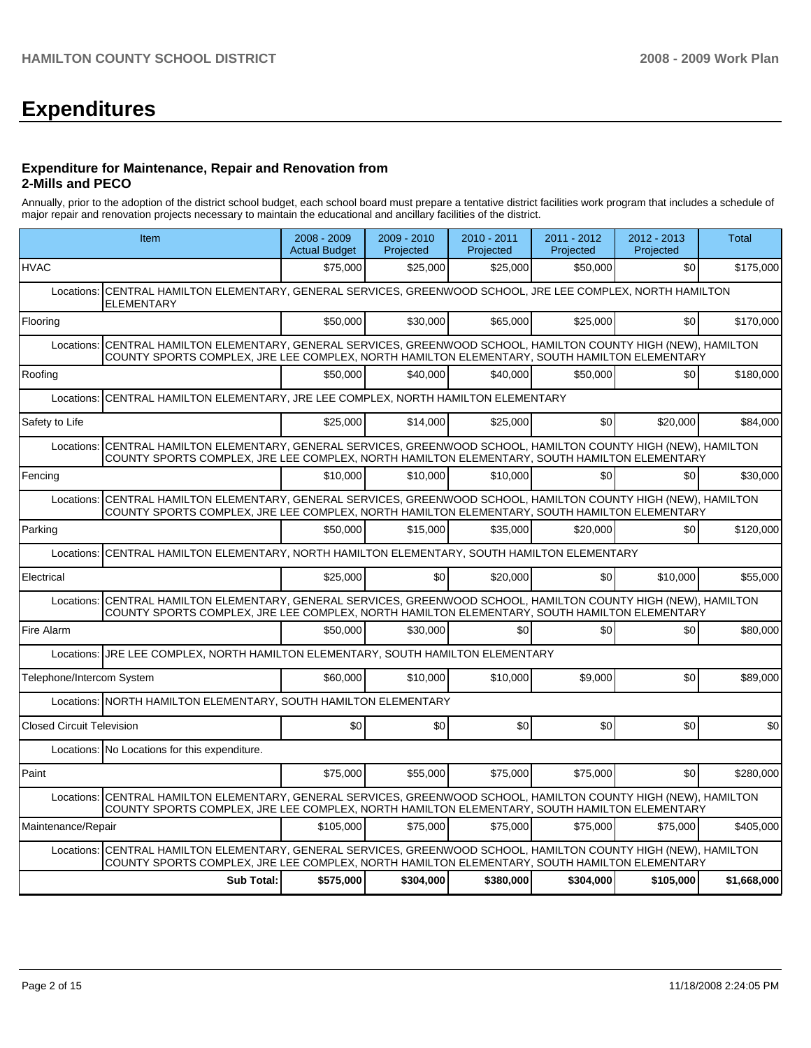# **Expenditures**

#### **Expenditure for Maintenance, Repair and Renovation from 2-Mills and PECO**

Annually, prior to the adoption of the district school budget, each school board must prepare a tentative district facilities work program that includes a schedule of major repair and renovation projects necessary to maintain the educational and ancillary facilities of the district.

|                                  | Item                                                                                                                                                                                                             | 2008 - 2009<br><b>Actual Budget</b> | $2009 - 2010$<br>Projected | $2010 - 2011$<br>Projected | 2011 - 2012<br>Projected | 2012 - 2013<br>Projected | Total       |
|----------------------------------|------------------------------------------------------------------------------------------------------------------------------------------------------------------------------------------------------------------|-------------------------------------|----------------------------|----------------------------|--------------------------|--------------------------|-------------|
| <b>HVAC</b>                      |                                                                                                                                                                                                                  | \$75,000                            | \$25,000                   | \$25,000                   | \$50,000                 | \$0                      | \$175,000   |
|                                  | Locations: CENTRAL HAMILTON ELEMENTARY, GENERAL SERVICES, GREENWOOD SCHOOL, JRE LEE COMPLEX, NORTH HAMILTON<br><b>ELEMENTARY</b>                                                                                 |                                     |                            |                            |                          |                          |             |
| Flooring                         |                                                                                                                                                                                                                  | \$50,000                            | \$30,000                   | \$65,000                   | \$25,000                 | \$0                      | \$170,000   |
|                                  | Locations: CENTRAL HAMILTON ELEMENTARY, GENERAL SERVICES, GREENWOOD SCHOOL, HAMILTON COUNTY HIGH (NEW), HAMILTON<br>COUNTY SPORTS COMPLEX, JRE LEE COMPLEX, NORTH HAMILTON ELEMENTARY, SOUTH HAMILTON ELEMENTARY |                                     |                            |                            |                          |                          |             |
| Roofing                          |                                                                                                                                                                                                                  | \$50,000                            | \$40.000                   | \$40,000                   | \$50.000                 | \$0                      | \$180,000   |
|                                  | Locations: CENTRAL HAMILTON ELEMENTARY, JRE LEE COMPLEX, NORTH HAMILTON ELEMENTARY                                                                                                                               |                                     |                            |                            |                          |                          |             |
| Safety to Life                   |                                                                                                                                                                                                                  | \$25,000                            | \$14,000                   | \$25,000                   | \$0                      | \$20,000                 | \$84.000    |
| Locations:                       | CENTRAL HAMILTON ELEMENTARY, GENERAL SERVICES, GREENWOOD SCHOOL, HAMILTON COUNTY HIGH (NEW), HAMILTON<br>COUNTY SPORTS COMPLEX, JRE LEE COMPLEX, NORTH HAMILTON ELEMENTARY, SOUTH HAMILTON ELEMENTARY            |                                     |                            |                            |                          |                          |             |
| Fencing                          |                                                                                                                                                                                                                  | \$10,000                            | \$10,000                   | \$10,000                   | \$0                      | \$0                      | \$30,000    |
| Locations:                       | CENTRAL HAMILTON ELEMENTARY, GENERAL SERVICES, GREENWOOD SCHOOL, HAMILTON COUNTY HIGH (NEW), HAMILTON<br>COUNTY SPORTS COMPLEX, JRE LEE COMPLEX, NORTH HAMILTON ELEMENTARY, SOUTH HAMILTON ELEMENTARY            |                                     |                            |                            |                          |                          |             |
| Parking                          |                                                                                                                                                                                                                  | \$50,000                            | \$15,000                   | \$35,000                   | \$20,000                 | \$0                      | \$120,000   |
| Locations:                       | CENTRAL HAMILTON ELEMENTARY, NORTH HAMILTON ELEMENTARY, SOUTH HAMILTON ELEMENTARY                                                                                                                                |                                     |                            |                            |                          |                          |             |
| Electrical                       |                                                                                                                                                                                                                  | \$25,000                            | \$0                        | \$20,000                   | \$0                      | \$10,000                 | \$55,000    |
|                                  | Locations: CENTRAL HAMILTON ELEMENTARY, GENERAL SERVICES, GREENWOOD SCHOOL, HAMILTON COUNTY HIGH (NEW), HAMILTON<br>COUNTY SPORTS COMPLEX, JRE LEE COMPLEX, NORTH HAMILTON ELEMENTARY, SOUTH HAMILTON ELEMENTARY |                                     |                            |                            |                          |                          |             |
| Fire Alarm                       |                                                                                                                                                                                                                  | \$50,000                            | \$30,000                   | \$0                        | \$0                      | \$0                      | \$80,000    |
| Locations:                       | JRE LEE COMPLEX, NORTH HAMILTON ELEMENTARY, SOUTH HAMILTON ELEMENTARY                                                                                                                                            |                                     |                            |                            |                          |                          |             |
| Telephone/Intercom System        |                                                                                                                                                                                                                  | \$60,000                            | \$10.000                   | \$10,000                   | \$9.000                  | \$0                      | \$89,000    |
|                                  | Locations: NORTH HAMILTON ELEMENTARY, SOUTH HAMILTON ELEMENTARY                                                                                                                                                  |                                     |                            |                            |                          |                          |             |
| <b>Closed Circuit Television</b> |                                                                                                                                                                                                                  | \$0                                 | \$0                        | \$0                        | \$0                      | \$0                      | \$0         |
|                                  | Locations: No Locations for this expenditure.                                                                                                                                                                    |                                     |                            |                            |                          |                          |             |
| Paint                            |                                                                                                                                                                                                                  | \$75,000                            | \$55,000                   | \$75,000                   | \$75,000                 | \$0                      | \$280,000   |
|                                  | Locations: CENTRAL HAMILTON ELEMENTARY, GENERAL SERVICES, GREENWOOD SCHOOL, HAMILTON COUNTY HIGH (NEW), HAMILTON<br>COUNTY SPORTS COMPLEX, JRE LEE COMPLEX, NORTH HAMILTON ELEMENTARY, SOUTH HAMILTON ELEMENTARY |                                     |                            |                            |                          |                          |             |
| Maintenance/Repair               |                                                                                                                                                                                                                  | \$105,000                           | \$75,000                   | \$75,000                   | \$75,000                 | \$75,000                 | \$405,000   |
|                                  | Locations: CENTRAL HAMILTON ELEMENTARY, GENERAL SERVICES, GREENWOOD SCHOOL, HAMILTON COUNTY HIGH (NEW), HAMILTON<br>COUNTY SPORTS COMPLEX, JRE LEE COMPLEX, NORTH HAMILTON ELEMENTARY, SOUTH HAMILTON ELEMENTARY |                                     |                            |                            |                          |                          |             |
|                                  | <b>Sub Total:</b>                                                                                                                                                                                                | \$575,000                           | \$304,000                  | \$380,000                  | \$304,000                | \$105,000                | \$1,668,000 |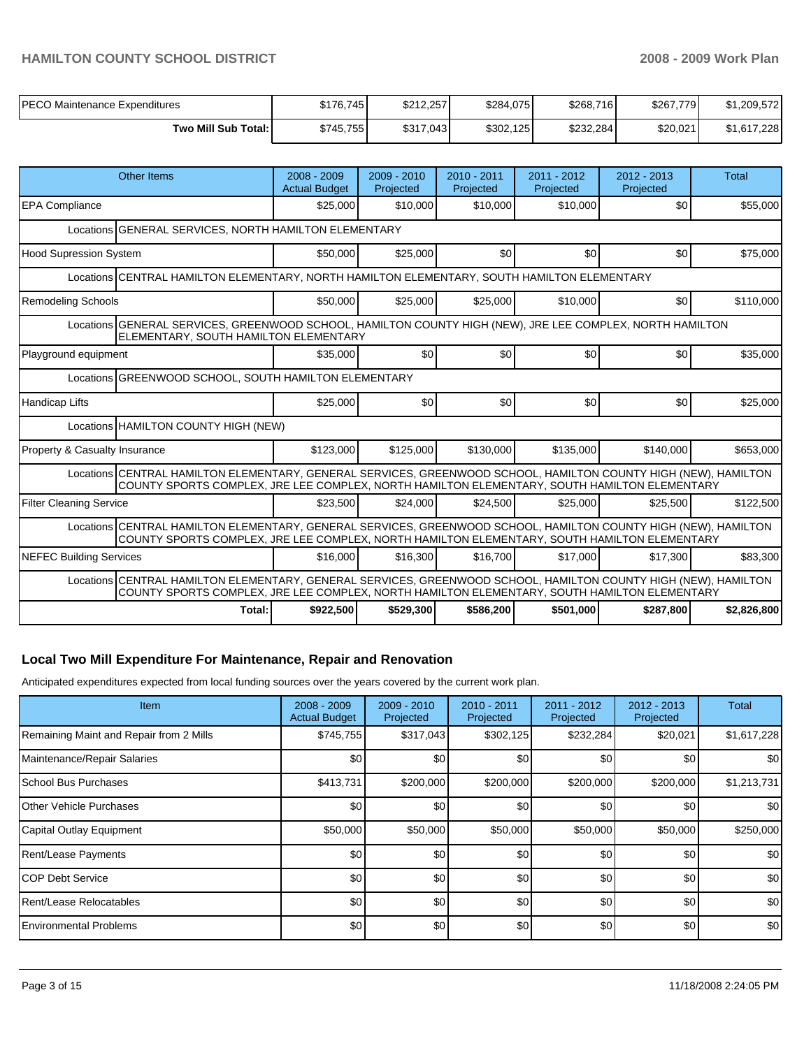## **HAMILTON COUNTY SCHOOL DISTRICT 2008 - 2009 Work Plan**

| PECO Maintenance Expenditures | \$176.745 | \$212,257 | \$284,075 | \$268,716 | \$267,779 | \$1,209,572 |
|-------------------------------|-----------|-----------|-----------|-----------|-----------|-------------|
| Two Mill Sub Total:           | \$745.755 | \$317,043 | \$302,125 | \$232,284 | \$20,021  | \$1,617,228 |

| Other Items                                                                                                                                                                                                     |                                                                                                                                                    | $2008 - 2009$<br><b>Actual Budget</b> | $2009 - 2010$<br>Projected | $2010 - 2011$<br>Projected | $2011 - 2012$<br>Projected | $2012 - 2013$<br>Projected | <b>Total</b> |  |  |
|-----------------------------------------------------------------------------------------------------------------------------------------------------------------------------------------------------------------|----------------------------------------------------------------------------------------------------------------------------------------------------|---------------------------------------|----------------------------|----------------------------|----------------------------|----------------------------|--------------|--|--|
| <b>EPA Compliance</b>                                                                                                                                                                                           |                                                                                                                                                    | \$25,000                              | \$10,000                   | \$10,000                   | \$10,000                   | \$0                        | \$55,000     |  |  |
| Locations GENERAL SERVICES, NORTH HAMILTON ELEMENTARY                                                                                                                                                           |                                                                                                                                                    |                                       |                            |                            |                            |                            |              |  |  |
| <b>Hood Supression System</b>                                                                                                                                                                                   |                                                                                                                                                    | \$50,000                              | \$25,000                   | \$0                        | \$0                        | \$0                        | \$75,000     |  |  |
| Locations CENTRAL HAMILTON ELEMENTARY, NORTH HAMILTON ELEMENTARY, SOUTH HAMILTON ELEMENTARY                                                                                                                     |                                                                                                                                                    |                                       |                            |                            |                            |                            |              |  |  |
| Remodeling Schools                                                                                                                                                                                              |                                                                                                                                                    | \$50,000                              | \$25,000                   | \$25,000                   | \$10,000                   | \$0                        | \$110,000    |  |  |
|                                                                                                                                                                                                                 | Locations GENERAL SERVICES, GREENWOOD SCHOOL, HAMILTON COUNTY HIGH (NEW), JRE LEE COMPLEX, NORTH HAMILTON<br>ELEMENTARY, SOUTH HAMILTON ELEMENTARY |                                       |                            |                            |                            |                            |              |  |  |
| Playground equipment                                                                                                                                                                                            |                                                                                                                                                    | \$35,000                              | \$0                        | \$0                        | \$0                        | \$0                        | \$35,000     |  |  |
| Locations GREENWOOD SCHOOL, SOUTH HAMILTON ELEMENTARY                                                                                                                                                           |                                                                                                                                                    |                                       |                            |                            |                            |                            |              |  |  |
| Handicap Lifts                                                                                                                                                                                                  |                                                                                                                                                    | \$25,000                              | \$0                        | \$0                        | \$0                        | \$0                        | \$25,000     |  |  |
| Locations HAMILTON COUNTY HIGH (NEW)                                                                                                                                                                            |                                                                                                                                                    |                                       |                            |                            |                            |                            |              |  |  |
| Property & Casualty Insurance                                                                                                                                                                                   |                                                                                                                                                    | \$123,000                             | \$125,000                  | \$130,000                  | \$135,000                  | \$140,000                  | \$653,000    |  |  |
| Locations CENTRAL HAMILTON ELEMENTARY, GENERAL SERVICES, GREENWOOD SCHOOL, HAMILTON COUNTY HIGH (NEW), HAMILTON<br>COUNTY SPORTS COMPLEX, JRE LEE COMPLEX, NORTH HAMILTON ELEMENTARY, SOUTH HAMILTON ELEMENTARY |                                                                                                                                                    |                                       |                            |                            |                            |                            |              |  |  |
| <b>Filter Cleaning Service</b>                                                                                                                                                                                  |                                                                                                                                                    | \$23,500                              | \$24,000                   | \$24,500                   | \$25,000                   | \$25,500                   | \$122,500    |  |  |
| Locations CENTRAL HAMILTON ELEMENTARY, GENERAL SERVICES, GREENWOOD SCHOOL, HAMILTON COUNTY HIGH (NEW), HAMILTON<br>COUNTY SPORTS COMPLEX, JRE LEE COMPLEX, NORTH HAMILTON ELEMENTARY, SOUTH HAMILTON ELEMENTARY |                                                                                                                                                    |                                       |                            |                            |                            |                            |              |  |  |
| <b>NEFEC Building Services</b>                                                                                                                                                                                  |                                                                                                                                                    | \$16,000                              | \$16,300                   | \$16,700                   | \$17,000                   | \$17,300                   | \$83,300     |  |  |
| Locations CENTRAL HAMILTON ELEMENTARY, GENERAL SERVICES, GREENWOOD SCHOOL, HAMILTON COUNTY HIGH (NEW), HAMILTON<br>COUNTY SPORTS COMPLEX, JRE LEE COMPLEX, NORTH HAMILTON ELEMENTARY, SOUTH HAMILTON ELEMENTARY |                                                                                                                                                    |                                       |                            |                            |                            |                            |              |  |  |
|                                                                                                                                                                                                                 | Total:                                                                                                                                             | \$922,500                             | \$529,300                  | \$586,200                  | \$501,000                  | \$287.800                  | \$2,826,800  |  |  |

## **Local Two Mill Expenditure For Maintenance, Repair and Renovation**

Anticipated expenditures expected from local funding sources over the years covered by the current work plan.

| Item                                    | $2008 - 2009$<br><b>Actual Budget</b> | $2009 - 2010$<br>Projected | 2010 - 2011<br>Projected | $2011 - 2012$<br>Projected | $2012 - 2013$<br>Projected | Total            |
|-----------------------------------------|---------------------------------------|----------------------------|--------------------------|----------------------------|----------------------------|------------------|
| Remaining Maint and Repair from 2 Mills | \$745,755                             | \$317,043                  | \$302,125                | \$232,284                  | \$20,021                   | \$1,617,228      |
| Maintenance/Repair Salaries             | \$0                                   | \$0                        | \$0                      | \$0                        | \$0                        | \$0              |
| <b>School Bus Purchases</b>             | \$413,731                             | \$200,000                  | \$200,000                | \$200,000                  | \$200,000                  | \$1,213,731      |
| <b>Other Vehicle Purchases</b>          | \$0                                   | \$0                        | \$0                      | \$0                        | \$0                        | <b>\$0</b>       |
| Capital Outlay Equipment                | \$50,000                              | \$50,000                   | \$50,000                 | \$50,000                   | \$50,000                   | \$250,000        |
| Rent/Lease Payments                     | \$0                                   | \$0                        | \$0                      | \$0                        | \$0                        | \$0 <sub>1</sub> |
| ICOP Debt Service                       | \$0                                   | \$0                        | \$0                      | \$0                        | \$0                        | \$0              |
| Rent/Lease Relocatables                 | \$0                                   | \$0                        | \$0                      | \$0                        | \$0                        | \$0              |
| <b>Environmental Problems</b>           | \$0                                   | \$0                        | \$0                      | \$0                        | \$0                        | \$0 <sub>1</sub> |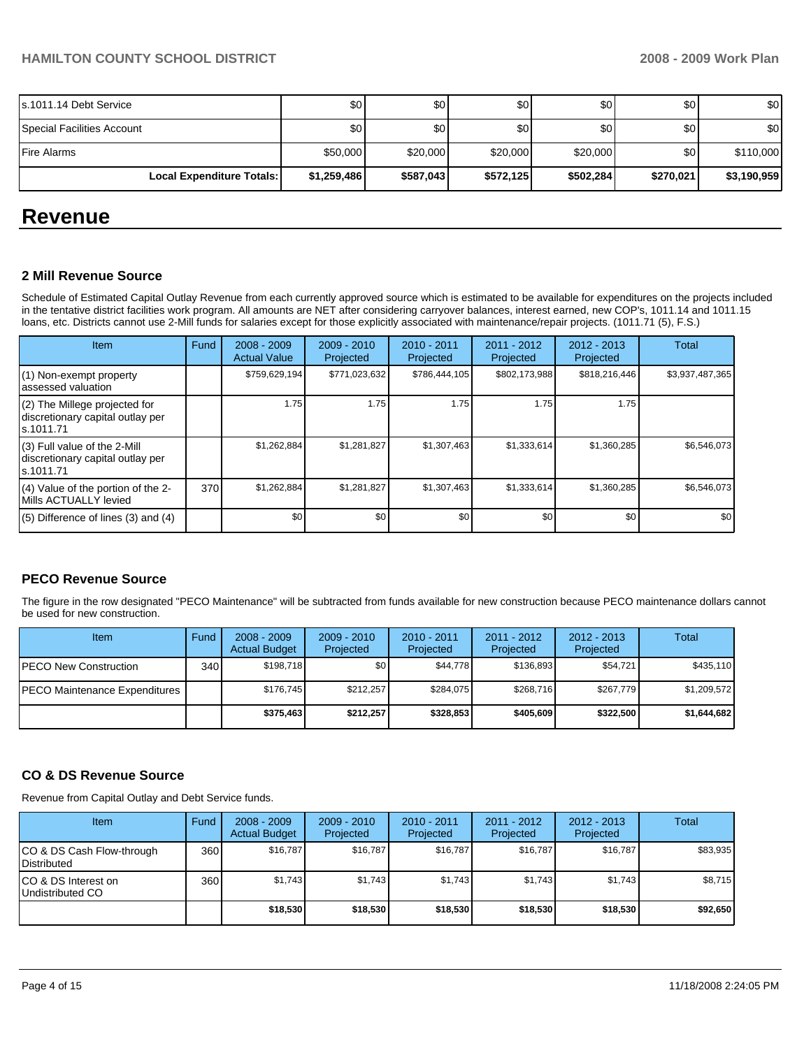| Fire Alarms<br>Local Expenditure Totals: | \$50,000<br>\$1,259,486 | \$20,000<br>\$587,043 | \$20,000<br>\$572,125 | \$20,000<br>\$502,284 | \$0 <sub>1</sub><br>\$270,021 | \$110,000<br>\$3,190,959 |
|------------------------------------------|-------------------------|-----------------------|-----------------------|-----------------------|-------------------------------|--------------------------|
| l Special Facilities Account             | \$0                     | \$0                   | \$0                   | \$0                   | \$0 <sub>1</sub>              | \$0                      |
| s.1011.14 Debt Service                   | \$0                     | \$0                   | \$0                   | \$0                   | \$0                           | \$0                      |

## **Revenue**

#### **2 Mill Revenue Source**

Schedule of Estimated Capital Outlay Revenue from each currently approved source which is estimated to be available for expenditures on the projects included in the tentative district facilities work program. All amounts are NET after considering carryover balances, interest earned, new COP's, 1011.14 and 1011.15 loans, etc. Districts cannot use 2-Mill funds for salaries except for those explicitly associated with maintenance/repair projects. (1011.71 (5), F.S.)

| Item                                                                              | Fund | $2008 - 2009$<br><b>Actual Value</b> | $2009 - 2010$<br>Projected | $2010 - 2011$<br>Projected | 2011 - 2012<br>Projected | $2012 - 2013$<br>Projected | <b>Total</b>    |
|-----------------------------------------------------------------------------------|------|--------------------------------------|----------------------------|----------------------------|--------------------------|----------------------------|-----------------|
| (1) Non-exempt property<br>lassessed valuation                                    |      | \$759,629,194                        | \$771,023,632              | \$786,444,105              | \$802,173,988            | \$818,216,446              | \$3,937,487,365 |
| $(2)$ The Millege projected for<br>discretionary capital outlay per<br>ls.1011.71 |      | 1.75                                 | 1.75                       | 1.75                       | 1.75                     | 1.75                       |                 |
| $(3)$ Full value of the 2-Mill<br>discretionary capital outlay per<br>ls.1011.71  |      | \$1,262,884                          | \$1,281,827                | \$1,307,463                | \$1,333,614              | \$1,360,285                | \$6,546,073     |
| $(4)$ Value of the portion of the 2-<br>Mills ACTUALLY levied                     | 370  | \$1,262,884                          | \$1,281,827                | \$1,307,463                | \$1,333,614              | \$1,360,285                | \$6,546,073     |
| $(5)$ Difference of lines (3) and (4)                                             |      | \$0                                  | \$0                        | \$0                        | \$0                      | \$0                        | \$0             |

## **PECO Revenue Source**

The figure in the row designated "PECO Maintenance" will be subtracted from funds available for new construction because PECO maintenance dollars cannot be used for new construction.

| Item                          | Fund         | $2008 - 2009$<br><b>Actual Budget</b> | $2009 - 2010$<br>Projected | $2010 - 2011$<br>Projected | $2011 - 2012$<br>Projected | $2012 - 2013$<br>Projected | Total       |
|-------------------------------|--------------|---------------------------------------|----------------------------|----------------------------|----------------------------|----------------------------|-------------|
| IPECO New Construction        | 340 <b>I</b> | \$198.718                             | \$0                        | \$44.778                   | \$136.893                  | \$54,721                   | \$435,110   |
| PECO Maintenance Expenditures |              | \$176.745                             | \$212.257                  | \$284.075                  | \$268.716                  | \$267.779                  | \$1,209,572 |
|                               |              | \$375.463                             | \$212,257                  | \$328,853                  | \$405,609                  | \$322,500                  | \$1,644,682 |

#### **CO & DS Revenue Source**

Revenue from Capital Outlay and Debt Service funds.

| Item                                     | Fund  | $2008 - 2009$<br><b>Actual Budget</b> | $2009 - 2010$<br>Projected | $2010 - 2011$<br>Projected | 2011 - 2012<br>Projected | $2012 - 2013$<br>Projected | Total    |
|------------------------------------------|-------|---------------------------------------|----------------------------|----------------------------|--------------------------|----------------------------|----------|
| CO & DS Cash Flow-through<br>Distributed | 360 l | \$16.787                              | \$16,787                   | \$16,787                   | \$16.787                 | \$16,787                   | \$83,935 |
| CO & DS Interest on<br>Undistributed CO  | 360 l | \$1,743                               | \$1,743                    | \$1,743                    | \$1,743                  | \$1,743                    | \$8,715  |
|                                          |       | \$18,530                              | \$18,530                   | \$18,530                   | \$18,530                 | \$18,530                   | \$92,650 |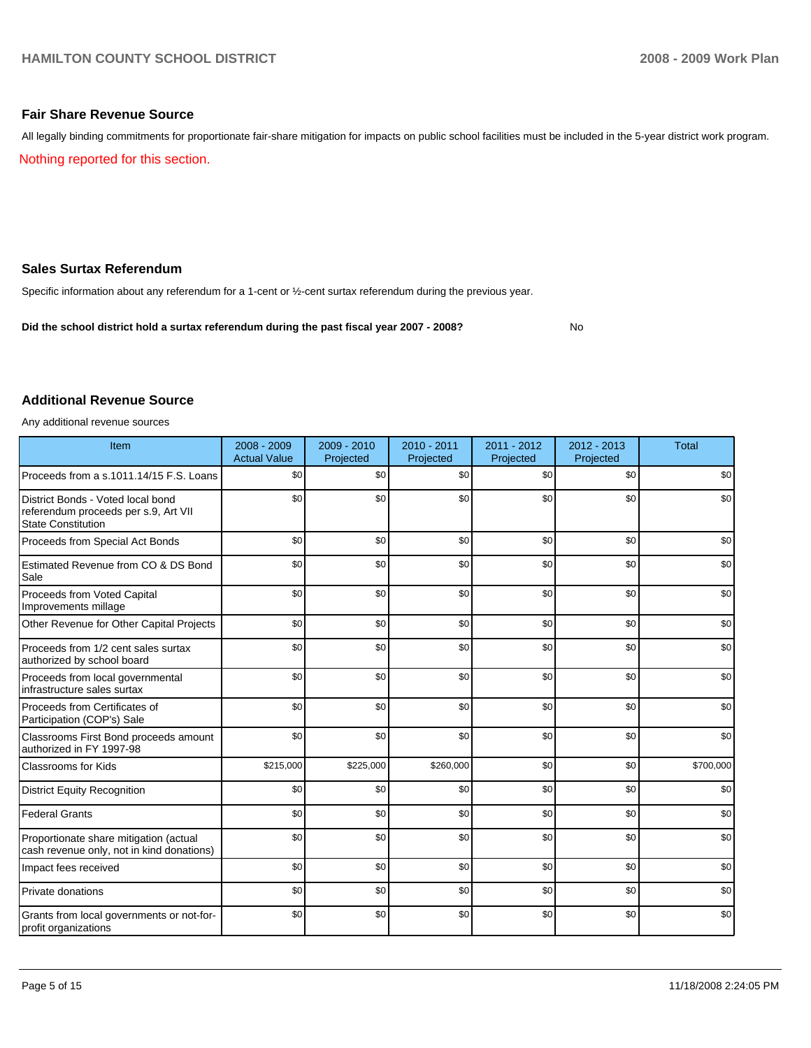#### **Fair Share Revenue Source**

All legally binding commitments for proportionate fair-share mitigation for impacts on public school facilities must be included in the 5-year district work program.

Nothing reported for this section.

## **Sales Surtax Referendum**

Specific information about any referendum for a 1-cent or ½-cent surtax referendum during the previous year.

Did the school district hold a surtax referendum during the past fiscal year 2007 - 2008? No

### **Additional Revenue Source**

Any additional revenue sources

| Item                                                                                            | 2008 - 2009<br><b>Actual Value</b> | $2009 - 2010$<br>Projected | 2010 - 2011<br>Projected | 2011 - 2012<br>Projected | $2012 - 2013$<br>Projected | <b>Total</b> |
|-------------------------------------------------------------------------------------------------|------------------------------------|----------------------------|--------------------------|--------------------------|----------------------------|--------------|
| Proceeds from a s.1011.14/15 F.S. Loans                                                         | \$0                                | \$0                        | \$0                      | \$0                      | \$0                        | \$0          |
| District Bonds - Voted local bond<br>referendum proceeds per s.9, Art VII<br>State Constitution | \$0                                | \$0                        | \$0                      | \$0                      | \$0                        | \$0          |
| Proceeds from Special Act Bonds                                                                 | \$0                                | \$0                        | \$0                      | \$0                      | \$0                        | \$0          |
| Estimated Revenue from CO & DS Bond<br>Sale                                                     | \$0                                | \$0                        | \$0                      | \$0                      | \$0                        | \$0          |
| Proceeds from Voted Capital<br>Improvements millage                                             | \$0                                | \$0                        | \$0                      | \$0                      | \$0                        | \$0          |
| Other Revenue for Other Capital Projects                                                        | \$0                                | \$0                        | \$0                      | \$0                      | \$0                        | \$0          |
| Proceeds from 1/2 cent sales surtax<br>authorized by school board                               | \$0                                | \$0                        | \$0                      | \$0                      | \$0                        | \$0          |
| Proceeds from local governmental<br>infrastructure sales surtax                                 | \$0                                | \$0                        | \$0                      | \$0                      | \$0                        | \$0          |
| Proceeds from Certificates of<br>Participation (COP's) Sale                                     | \$0                                | \$0                        | \$0                      | \$0                      | \$0                        | \$0          |
| Classrooms First Bond proceeds amount<br>authorized in FY 1997-98                               | \$0                                | \$0                        | \$0                      | \$0                      | \$0                        | \$0          |
| <b>Classrooms for Kids</b>                                                                      | \$215,000                          | \$225,000                  | \$260,000                | \$0                      | \$0                        | \$700,000    |
| <b>District Equity Recognition</b>                                                              | \$0                                | \$0                        | \$0                      | \$0                      | \$0                        | \$0          |
| <b>Federal Grants</b>                                                                           | \$0                                | \$0                        | \$0                      | \$0                      | \$0                        | \$0          |
| Proportionate share mitigation (actual<br>cash revenue only, not in kind donations)             | \$0                                | \$0                        | \$0                      | \$0                      | \$0                        | \$0          |
| Impact fees received                                                                            | \$0                                | \$0                        | \$0                      | \$0                      | \$0                        | \$0          |
| Private donations                                                                               | \$0                                | \$0                        | \$0                      | \$0                      | \$0                        | \$0          |
| Grants from local governments or not-for-<br>profit organizations                               | \$0                                | \$0                        | \$0                      | \$0                      | \$0                        | \$0          |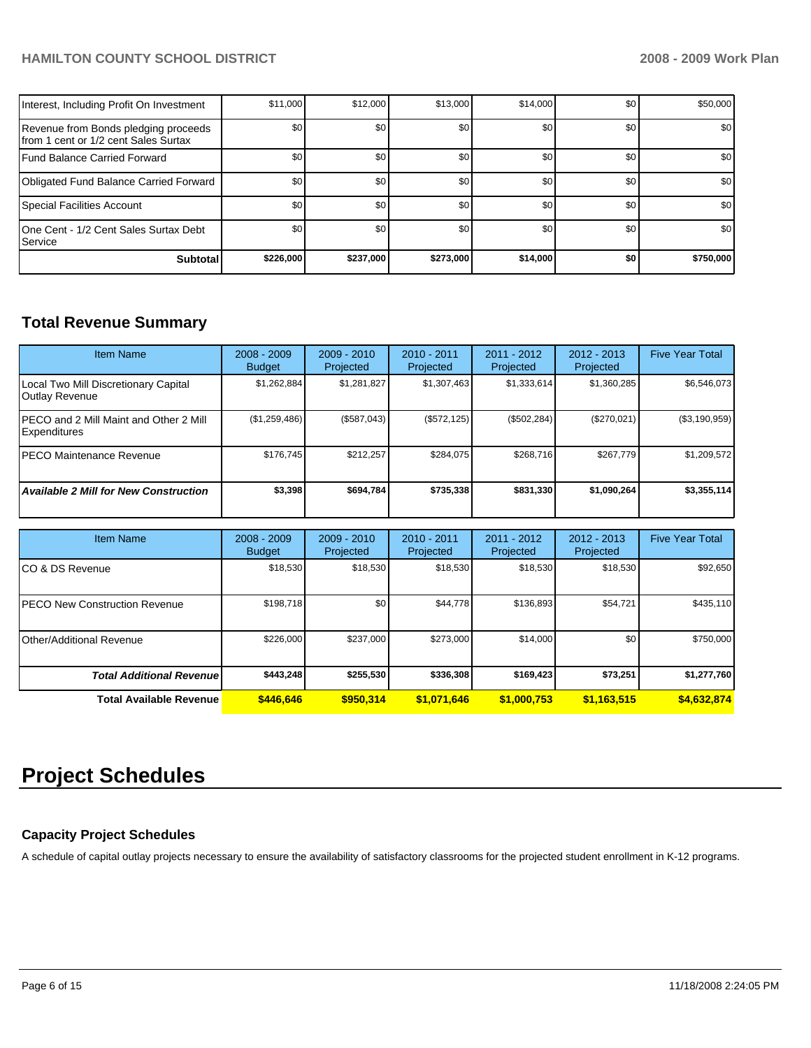## **HAMILTON COUNTY SCHOOL DISTRICT 2008 - 2009 Work Plan**

| Interest, Including Profit On Investment                                      | \$11,000  | \$12,000  | \$13.000  | \$14,000 | \$0 | \$50,000  |
|-------------------------------------------------------------------------------|-----------|-----------|-----------|----------|-----|-----------|
| Revenue from Bonds pledging proceeds<br>Ifrom 1 cent or 1/2 cent Sales Surtax | \$0       | \$0       | \$0       | \$0      | \$0 | \$0       |
| Fund Balance Carried Forward                                                  | \$0       | \$0       | \$0       | \$0      | \$0 | \$0       |
| Obligated Fund Balance Carried Forward                                        | \$0       | \$0       | \$0       | \$0      | \$0 | \$0       |
| Special Facilities Account                                                    | \$0       | \$0       | \$0       | \$0      | \$0 | \$0       |
| 10ne Cent - 1/2 Cent Sales Surtax Debt<br><b>I</b> Service                    | \$0       | \$0       | \$0       | \$0      | \$0 | \$0       |
| <b>Subtotal</b>                                                               | \$226,000 | \$237,000 | \$273,000 | \$14,000 | \$0 | \$750,000 |

## **Total Revenue Summary**

| <b>Item Name</b>                                               | $2008 - 2009$<br><b>Budget</b> | $2009 - 2010$<br>Projected | $2010 - 2011$<br>Projected | 2011 - 2012<br>Projected | $2012 - 2013$<br>Projected | <b>Five Year Total</b> |
|----------------------------------------------------------------|--------------------------------|----------------------------|----------------------------|--------------------------|----------------------------|------------------------|
| Local Two Mill Discretionary Capital<br><b>Outlay Revenue</b>  | \$1,262,884                    | \$1,281,827                | \$1,307,463                | \$1,333,614              | \$1,360,285                | \$6,546,073            |
| <b>IPECO and 2 Mill Maint and Other 2 Mill</b><br>Expenditures | (\$1,259,486)                  | (\$587,043)                | (\$572, 125)               | (\$502, 284)             | (\$270,021)                | (\$3,190,959)          |
| <b>IPECO Maintenance Revenue</b>                               | \$176.745                      | \$212,257                  | \$284.075                  | \$268.716                | \$267,779                  | \$1,209,572            |
| <b>Available 2 Mill for New Construction</b>                   | \$3,398                        | \$694,784                  | \$735,338                  | \$831,330                | \$1,090,264                | \$3,355,114            |

| <b>Item Name</b>                      | $2008 - 2009$<br><b>Budget</b> | $2009 - 2010$<br>Projected | 2010 - 2011<br>Projected | 2011 - 2012<br>Projected | 2012 - 2013<br>Projected | <b>Five Year Total</b> |
|---------------------------------------|--------------------------------|----------------------------|--------------------------|--------------------------|--------------------------|------------------------|
| ICO & DS Revenue                      | \$18,530                       | \$18,530                   | \$18,530                 | \$18,530                 | \$18,530                 | \$92,650               |
| <b>IPECO New Construction Revenue</b> | \$198,718                      | \$0                        | \$44.778                 | \$136,893                | \$54,721                 | \$435,110              |
| l Other/Additional Revenue            | \$226,000                      | \$237,000                  | \$273,000                | \$14,000                 | \$0                      | \$750,000              |
| <b>Total Additional Revenuel</b>      | \$443.248                      | \$255.530                  | \$336,308                | \$169,423                | \$73,251                 | \$1,277,760            |
| <b>Total Available Revenue</b>        | \$446,646                      | \$950.314                  | \$1.071.646              | \$1,000.753              | \$1,163,515              | \$4,632,874            |

## **Project Schedules**

## **Capacity Project Schedules**

A schedule of capital outlay projects necessary to ensure the availability of satisfactory classrooms for the projected student enrollment in K-12 programs.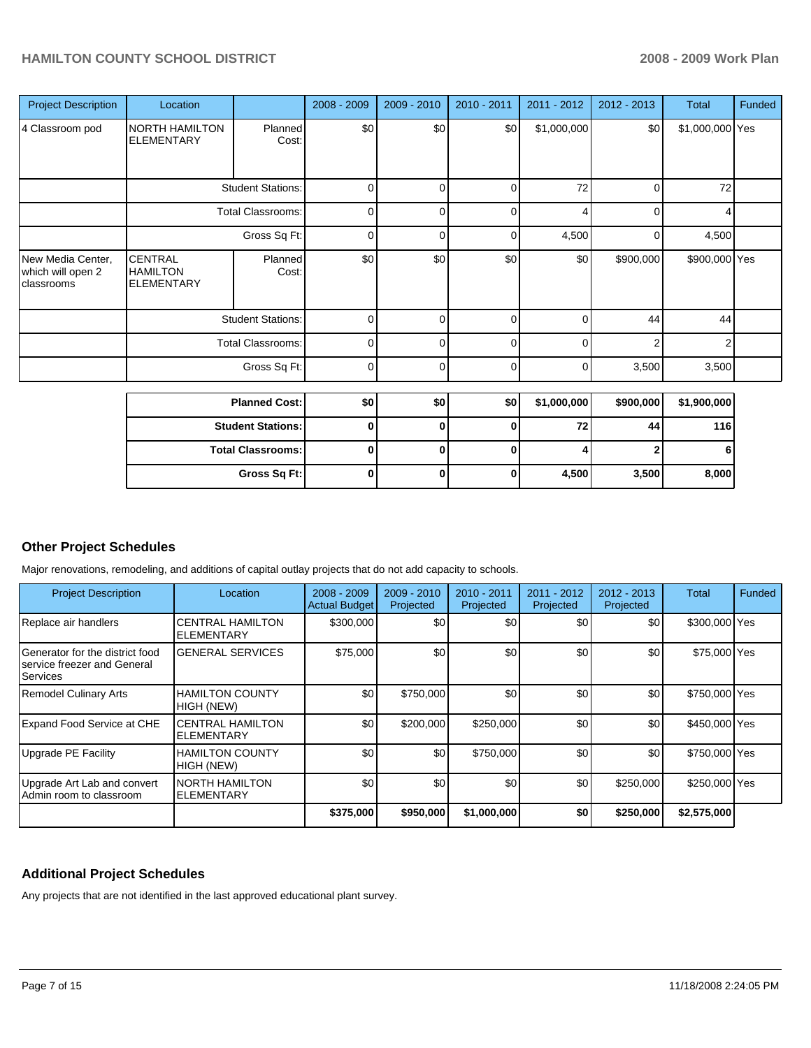| <b>Project Description</b>                           | Location                                               |                          | 2008 - 2009 | 2009 - 2010 | 2010 - 2011 | 2011 - 2012 | 2012 - 2013    | <b>Total</b>    | Funded |
|------------------------------------------------------|--------------------------------------------------------|--------------------------|-------------|-------------|-------------|-------------|----------------|-----------------|--------|
| 4 Classroom pod                                      | NORTH HAMILTON<br><b>ELEMENTARY</b>                    | Planned<br>Cost:         | \$0         | \$0         | \$0         | \$1,000,000 | \$0            | \$1,000,000 Yes |        |
|                                                      |                                                        | <b>Student Stations:</b> | 0           | $\Omega$    | 0           | 72          | 0              | 72              |        |
|                                                      |                                                        | <b>Total Classrooms:</b> | $\mathbf 0$ | 0           | 0           | 4           | 0              | 4               |        |
|                                                      | Gross Sq Ft:                                           |                          | $\mathbf 0$ | $\Omega$    | 0           | 4,500       | 0              | 4,500           |        |
| New Media Center,<br>which will open 2<br>classrooms | <b>CENTRAL</b><br><b>HAMILTON</b><br><b>ELEMENTARY</b> | Planned<br>Cost:         | \$0         | \$0         | \$0         | \$0         | \$900,000      | \$900,000 Yes   |        |
|                                                      |                                                        | <b>Student Stations:</b> | $\mathbf 0$ | 0           | $\mathbf 0$ | 0           | 44             | 44              |        |
|                                                      |                                                        | Total Classrooms:        | $\mathbf 0$ | $\Omega$    | 0           | 0           | $\mathfrak{p}$ | 2               |        |
|                                                      |                                                        | Gross Sq Ft:             | 0           | $\Omega$    | $\mathbf 0$ | 0           | 3,500          | 3,500           |        |
|                                                      |                                                        | <b>Planned Cost:</b>     | \$0         | \$0         | \$0         | \$1,000,000 | \$900,000      | \$1,900,000     |        |
|                                                      |                                                        | <b>Student Stations:</b> | 0           | $\bf{0}$    | 0           | 72          | 44             | 116             |        |
|                                                      |                                                        | <b>Total Classrooms:</b> | $\mathbf 0$ | 0           | $\bf{0}$    | 4           | 2              | 6               |        |

**Gross Sq Ft:** 0 0 0 0 4,500 3,500 8,000

## **Other Project Schedules**

Major renovations, remodeling, and additions of capital outlay projects that do not add capacity to schools.

| <b>Project Description</b>                                                    | Location                                     | $2008 - 2009$<br><b>Actual Budget</b> | 2009 - 2010<br>Projected | 2010 - 2011<br>Projected | 2011 - 2012<br>Projected | 2012 - 2013<br>Projected | Total         | <b>Funded</b> |
|-------------------------------------------------------------------------------|----------------------------------------------|---------------------------------------|--------------------------|--------------------------|--------------------------|--------------------------|---------------|---------------|
| Replace air handlers                                                          | <b>CENTRAL HAMILTON</b><br><b>ELEMENTARY</b> | \$300,000                             | \$0                      | \$0                      | \$0                      | \$0                      | \$300,000 Yes |               |
| Generator for the district food<br>Iservice freezer and General<br>l Services | <b>GENERAL SERVICES</b>                      | \$75,000                              | \$0                      | \$0                      | \$0                      | \$0                      | \$75,000 Yes  |               |
| <b>Remodel Culinary Arts</b>                                                  | <b>HAMILTON COUNTY</b><br>HIGH (NEW)         | \$0                                   | \$750,000                | \$0                      | \$0                      | \$0                      | \$750,000 Yes |               |
| <b>Expand Food Service at CHE</b>                                             | <b>CENTRAL HAMILTON</b><br><b>ELEMENTARY</b> | \$0                                   | \$200,000                | \$250,000                | \$0                      | \$0                      | \$450,000 Yes |               |
| Upgrade PE Facility                                                           | <b>HAMILTON COUNTY</b><br>HIGH (NEW)         | \$0                                   | \$0                      | \$750,000                | \$0                      | \$0                      | \$750,000 Yes |               |
| Upgrade Art Lab and convert<br>Admin room to classroom                        | <b>NORTH HAMILTON</b><br><b>ELEMENTARY</b>   | \$0                                   | \$0                      | \$0                      | \$0 <sub>1</sub>         | \$250,000                | \$250,000 Yes |               |
|                                                                               |                                              | \$375,000                             | \$950,000                | \$1,000,000              | \$0                      | \$250,000                | \$2,575,000   |               |

### **Additional Project Schedules**

Any projects that are not identified in the last approved educational plant survey.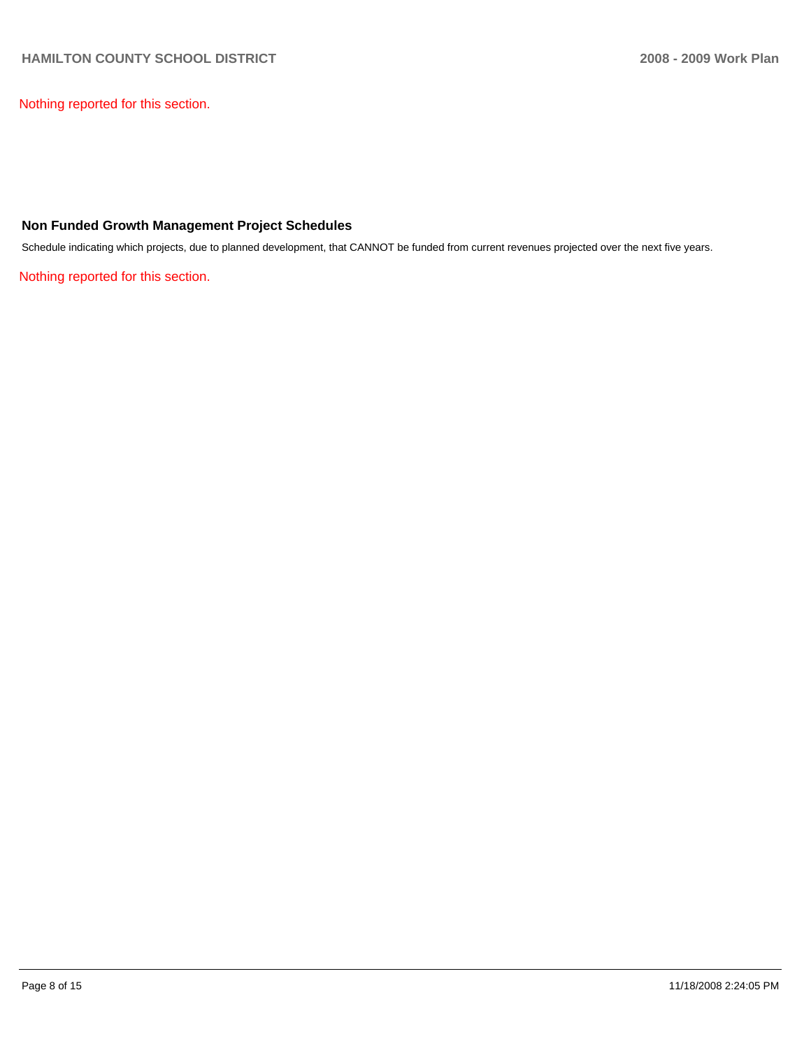Nothing reported for this section.

## **Non Funded Growth Management Project Schedules**

Schedule indicating which projects, due to planned development, that CANNOT be funded from current revenues projected over the next five years.

Nothing reported for this section.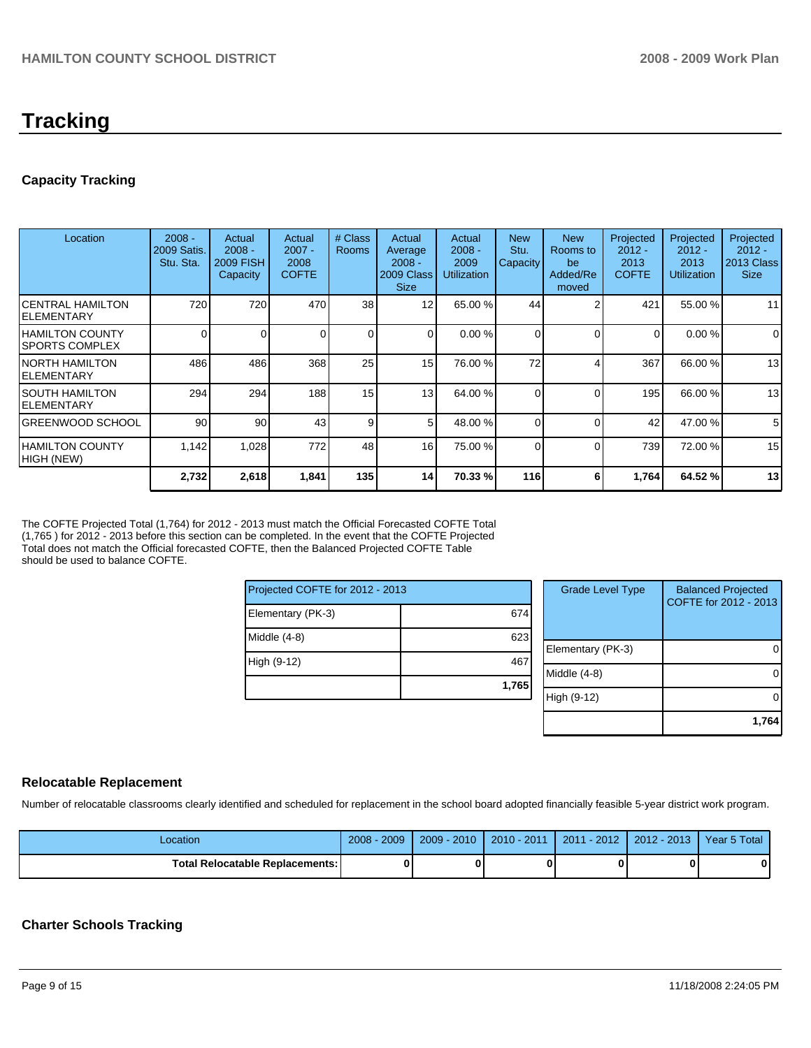## **Tracking**

## **Capacity Tracking**

| Location                                        | $2008 -$<br>2009 Satis.<br>Stu. Sta. | Actual<br>$2008 -$<br>2009 FISH<br>Capacity | Actual<br>$2007 -$<br>2008<br><b>COFTE</b> | # Class<br><b>Rooms</b> | Actual<br>Average<br>$2008 -$<br>2009 Class<br><b>Size</b> | Actual<br>$2008 -$<br>2009<br><b>Utilization</b> | <b>New</b><br>Stu.<br><b>Capacity</b> | <b>New</b><br>Rooms to<br>be<br>Added/Re<br>moved | Projected<br>$2012 -$<br>2013<br><b>COFTE</b> | Projected<br>$2012 -$<br>2013<br><b>Utilization</b> | Projected<br>$2012 -$<br>2013 Class<br><b>Size</b> |
|-------------------------------------------------|--------------------------------------|---------------------------------------------|--------------------------------------------|-------------------------|------------------------------------------------------------|--------------------------------------------------|---------------------------------------|---------------------------------------------------|-----------------------------------------------|-----------------------------------------------------|----------------------------------------------------|
| ICENTRAL HAMILTON<br>IELEMENTARY                | 720                                  | 720                                         | 470                                        | 38 <sup>1</sup>         | 12                                                         | 65.00 %                                          | 44                                    |                                                   | 421                                           | 55.00 %                                             | 11                                                 |
| <b>HAMILTON COUNTY</b><br><b>SPORTS COMPLEX</b> | $\Omega$                             | 0                                           |                                            | $\Omega$                | 0                                                          | 0.00 %                                           | 0                                     | $\Omega$                                          | 0                                             | 0.00%                                               | 0                                                  |
| <b>NORTH HAMILTON</b><br>IELEMENTARY            | 486                                  | 486                                         | 368                                        | 25                      | 15                                                         | 76.00 %                                          | 72                                    |                                                   | 367                                           | 66.00 %                                             | 13                                                 |
| I SOUTH HAMILTON<br>IELEMENTARY                 | 294                                  | 294                                         | 188                                        | 15                      | 13                                                         | 64.00 %                                          | 0                                     | $\Omega$                                          | 195                                           | 66.00 %                                             | 13                                                 |
| <b>IGREENWOOD SCHOOL</b>                        | 90                                   | 90                                          | 43                                         | 9                       | 5                                                          | 48.00 %                                          | 0                                     | $\Omega$                                          | 42                                            | 47.00 %                                             | 5                                                  |
| IHAMILTON COUNTY<br>HIGH (NEW)                  | 1,142                                | 1,028                                       | 772                                        | 48                      | 16                                                         | 75.00 %                                          | 0                                     | $\Omega$                                          | 739                                           | 72.00 %                                             | 15                                                 |
|                                                 | 2,732                                | 2,618                                       | 1,841                                      | 135                     | 14                                                         | 70.33 %                                          | 116                                   | 6                                                 | 1,764                                         | 64.52 %                                             | 13                                                 |

The COFTE Projected Total (1,764) for 2012 - 2013 must match the Official Forecasted COFTE Total (1,765 ) for 2012 - 2013 before this section can be completed. In the event that the COFTE Projected Total does not match the Official forecasted COFTE, then the Balanced Projected COFTE Table should be used to balance COFTE.

| Projected COFTE for 2012 - 2013 |       |   |  |  |  |
|---------------------------------|-------|---|--|--|--|
| Elementary (PK-3)               | 674   |   |  |  |  |
| Middle (4-8)                    | 623   | F |  |  |  |
| High (9-12)                     | 467   | N |  |  |  |
|                                 | 1,765 | H |  |  |  |

| <b>Grade Level Type</b> | <b>Balanced Projected</b><br>COFTE for 2012 - 2013 |
|-------------------------|----------------------------------------------------|
| Elementary (PK-3)       |                                                    |
| Middle (4-8)            |                                                    |
| High (9-12)             |                                                    |
|                         | 1,764                                              |

## **Relocatable Replacement**

Number of relocatable classrooms clearly identified and scheduled for replacement in the school board adopted financially feasible 5-year district work program.

| Location                               | $2008 - 2009$ | $2009 - 2010$ | 2010 - 2011 | 2011 - 2012 | l 2012 - 2013 l | Year 5 Total |
|----------------------------------------|---------------|---------------|-------------|-------------|-----------------|--------------|
| <b>Total Relocatable Replacements:</b> | O             |               |             |             |                 |              |

## **Charter Schools Tracking**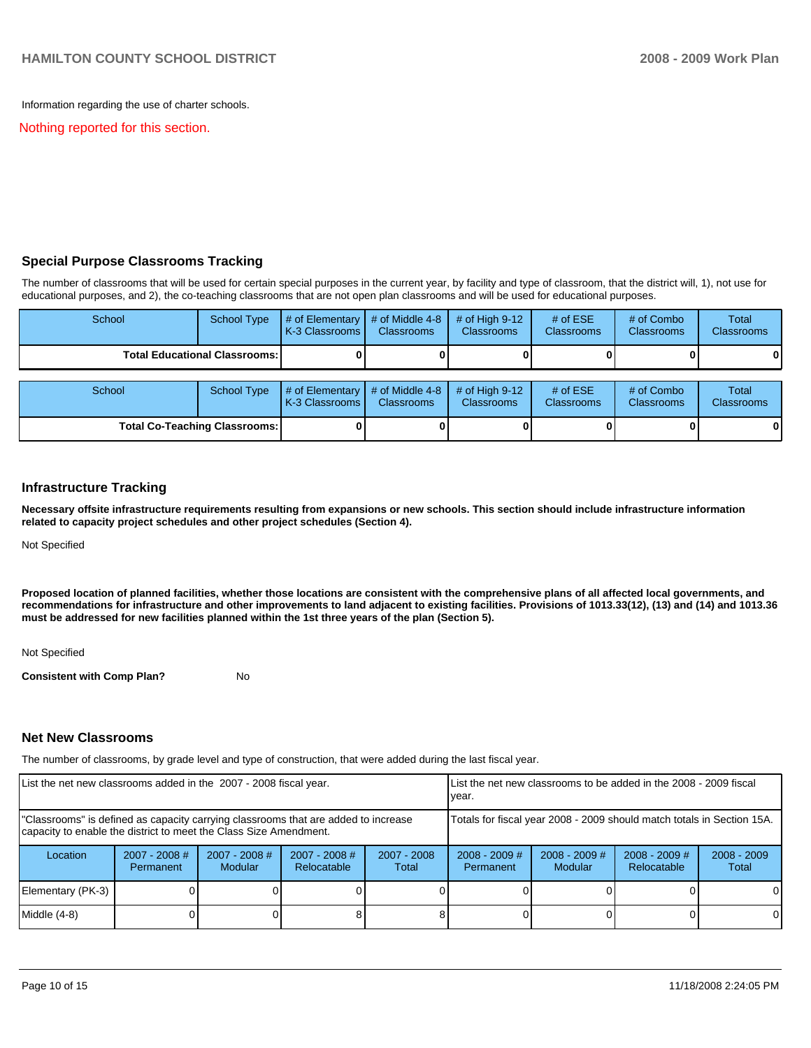Information regarding the use of charter schools.

Nothing reported for this section.

## **Special Purpose Classrooms Tracking**

The number of classrooms that will be used for certain special purposes in the current year, by facility and type of classroom, that the district will, 1), not use for educational purposes, and 2), the co-teaching classrooms that are not open plan classrooms and will be used for educational purposes.

| School                               | <b>School Type</b>                   | $#$ of Elementary<br>K-3 Classrooms | # of Middle 4-8<br><b>Classrooms</b> | $#$ of High 9-12<br><b>Classrooms</b> | # of $ESE$<br><b>Classrooms</b> | # of Combo<br><b>Classrooms</b> | Total<br><b>Classrooms</b> |
|--------------------------------------|--------------------------------------|-------------------------------------|--------------------------------------|---------------------------------------|---------------------------------|---------------------------------|----------------------------|
|                                      | <b>Total Educational Classrooms:</b> |                                     |                                      |                                       |                                 |                                 | 01                         |
| School                               | <b>School Type</b>                   | # of Elementary<br>K-3 Classrooms   | # of Middle 4-8<br><b>Classrooms</b> | # of High $9-12$<br>Classrooms        | # of $ESE$<br><b>Classrooms</b> | # of Combo<br><b>Classrooms</b> | Total<br><b>Classrooms</b> |
| <b>Total Co-Teaching Classrooms:</b> |                                      |                                     |                                      |                                       |                                 | 0                               | 01                         |

#### **Infrastructure Tracking**

**Necessary offsite infrastructure requirements resulting from expansions or new schools. This section should include infrastructure information related to capacity project schedules and other project schedules (Section 4).** 

Not Specified

**Proposed location of planned facilities, whether those locations are consistent with the comprehensive plans of all affected local governments, and recommendations for infrastructure and other improvements to land adjacent to existing facilities. Provisions of 1013.33(12), (13) and (14) and 1013.36 must be addressed for new facilities planned within the 1st three years of the plan (Section 5).** 

Not Specified

**Consistent with Comp Plan?** No

#### **Net New Classrooms**

The number of classrooms, by grade level and type of construction, that were added during the last fiscal year.

| List the net new classrooms added in the 2007 - 2008 fiscal year.                                                                                       |                              |                            | List the net new classrooms to be added in the 2008 - 2009 fiscal<br>year. |                        |                                                                        |                            |                                |                        |
|---------------------------------------------------------------------------------------------------------------------------------------------------------|------------------------------|----------------------------|----------------------------------------------------------------------------|------------------------|------------------------------------------------------------------------|----------------------------|--------------------------------|------------------------|
| "Classrooms" is defined as capacity carrying classrooms that are added to increase<br>capacity to enable the district to meet the Class Size Amendment. |                              |                            |                                                                            |                        | Totals for fiscal year 2008 - 2009 should match totals in Section 15A. |                            |                                |                        |
| Location                                                                                                                                                | $2007 - 2008$ #<br>Permanent | $2007 - 2008$ #<br>Modular | $2007 - 2008$ #<br>Relocatable                                             | $2007 - 2008$<br>Total | $2008 - 2009$ #<br>Permanent                                           | $2008 - 2009$ #<br>Modular | $2008 - 2009$ #<br>Relocatable | $2008 - 2009$<br>Total |
| Elementary (PK-3)                                                                                                                                       |                              |                            |                                                                            |                        |                                                                        |                            |                                | $\Omega$               |
| Middle (4-8)                                                                                                                                            |                              |                            |                                                                            |                        |                                                                        |                            |                                | $\Omega$               |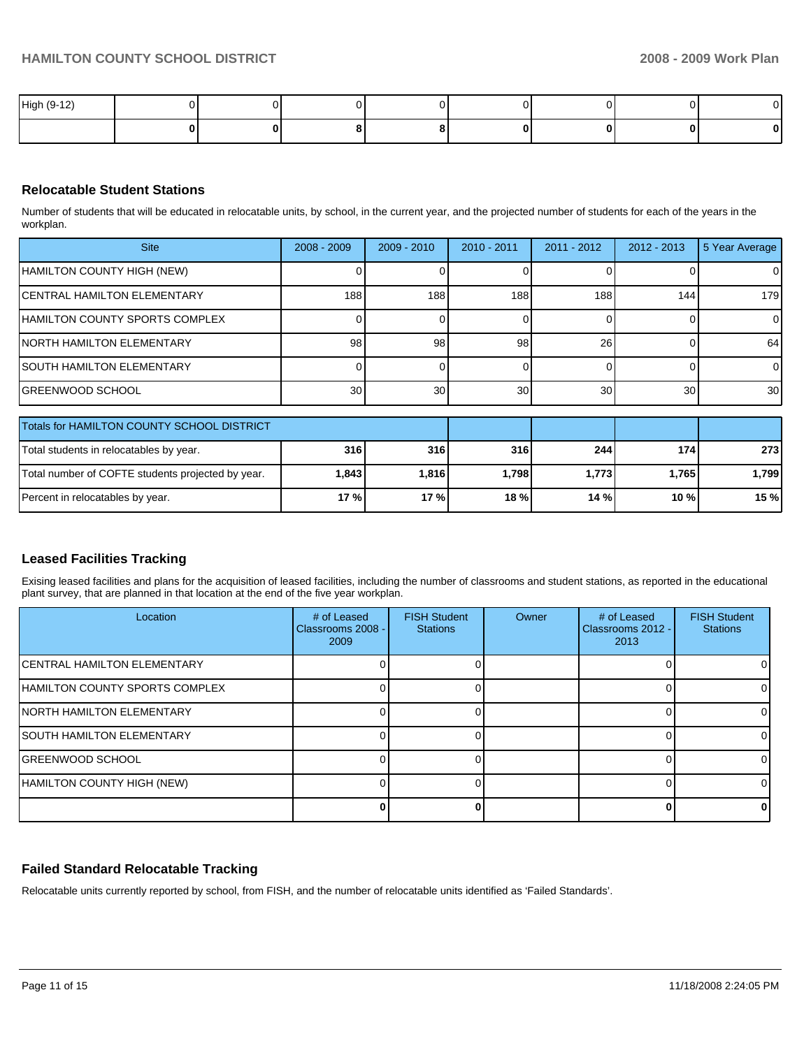| High (9-12) |  |  |  | $\sim$ |
|-------------|--|--|--|--------|
|             |  |  |  | 0      |

## **Relocatable Student Stations**

Number of students that will be educated in relocatable units, by school, in the current year, and the projected number of students for each of the years in the workplan.

| <b>Site</b>                                | $2008 - 2009$   | $2009 - 2010$ | $2010 - 2011$ | $2011 - 2012$ | $2012 - 2013$ | 5 Year Average  |
|--------------------------------------------|-----------------|---------------|---------------|---------------|---------------|-----------------|
| HAMILTON COUNTY HIGH (NEW)                 |                 |               |               |               |               | ΟI              |
| <b>ICENTRAL HAMILTON ELEMENTARY</b>        | 188             | 188           | 188           | 188           | 144           | 179             |
| <b>IHAMILTON COUNTY SPORTS COMPLEX</b>     |                 |               |               |               |               |                 |
| <b>INORTH HAMILTON ELEMENTARY</b>          | 98              | 98            | 98            | 26            |               | 64              |
| <b>ISOUTH HAMILTON ELEMENTARY</b>          |                 |               |               |               |               | $\overline{0}$  |
| <b>GREENWOOD SCHOOL</b>                    | 30 <sub>l</sub> | 30            | 30            | 30            | 30            | 30 <sup>1</sup> |
|                                            |                 |               |               |               |               |                 |
| Totals for HAMILTON COUNTY SCHOOL DISTRICT |                 |               |               |               |               |                 |
| $I$ Total atudenta in relegatables buyger  | 24c             | 24c           | 24C           | 211           | 171           | つつつ             |

| TT0ials for HAMILTON COUNTY SCHOOL DISTRICT       |            |         |       |             |         |         |
|---------------------------------------------------|------------|---------|-------|-------------|---------|---------|
| Total students in relocatables by year.           | 316<br>316 | 244     | 1741  | <b>2731</b> |         |         |
| Total number of COFTE students projected by year. | 1.843      | l.816 l | 1.798 | 1,773       | 1.7651  | l.799 l |
| Percent in relocatables by year.                  | 17%        | 17 %    | 18 %  | 14%         | $10 \%$ | 15%     |

## **Leased Facilities Tracking**

Exising leased facilities and plans for the acquisition of leased facilities, including the number of classrooms and student stations, as reported in the educational plant survey, that are planned in that location at the end of the five year workplan.

| Location                            | # of Leased<br>Classrooms 2008 -<br>2009 | <b>FISH Student</b><br><b>Stations</b> | Owner | # of Leased<br>Classrooms 2012 -<br>2013 | <b>FISH Student</b><br><b>Stations</b> |
|-------------------------------------|------------------------------------------|----------------------------------------|-------|------------------------------------------|----------------------------------------|
| <b>ICENTRAL HAMILTON ELEMENTARY</b> |                                          |                                        |       |                                          |                                        |
| HAMILTON COUNTY SPORTS COMPLEX      |                                          |                                        |       |                                          |                                        |
| <b>INORTH HAMILTON ELEMENTARY</b>   |                                          |                                        |       |                                          |                                        |
| <b>ISOUTH HAMILTON ELEMENTARY</b>   |                                          |                                        |       |                                          |                                        |
| IGREENWOOD SCHOOL                   |                                          |                                        |       |                                          |                                        |
| HAMILTON COUNTY HIGH (NEW)          |                                          |                                        |       |                                          |                                        |
|                                     |                                          |                                        |       |                                          |                                        |

## **Failed Standard Relocatable Tracking**

Relocatable units currently reported by school, from FISH, and the number of relocatable units identified as 'Failed Standards'.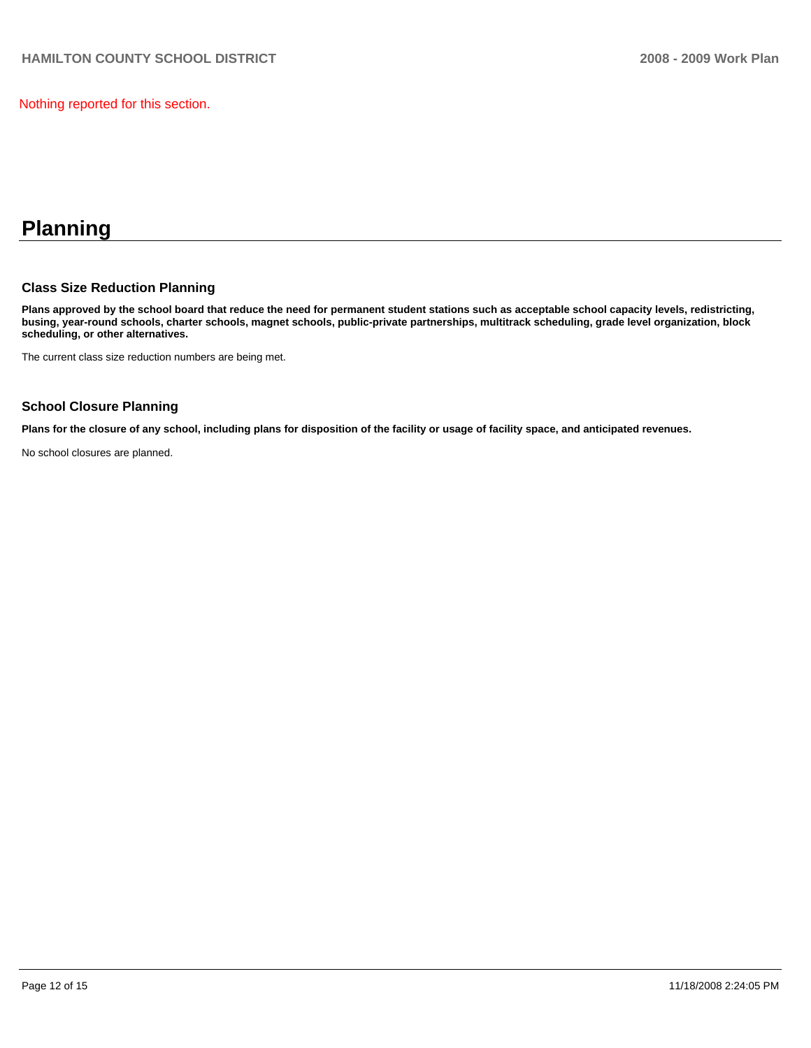Nothing reported for this section.

# **Planning**

### **Class Size Reduction Planning**

**Plans approved by the school board that reduce the need for permanent student stations such as acceptable school capacity levels, redistricting, busing, year-round schools, charter schools, magnet schools, public-private partnerships, multitrack scheduling, grade level organization, block scheduling, or other alternatives.** 

The current class size reduction numbers are being met.

## **School Closure Planning**

**Plans for the closure of any school, including plans for disposition of the facility or usage of facility space, and anticipated revenues.** 

No school closures are planned.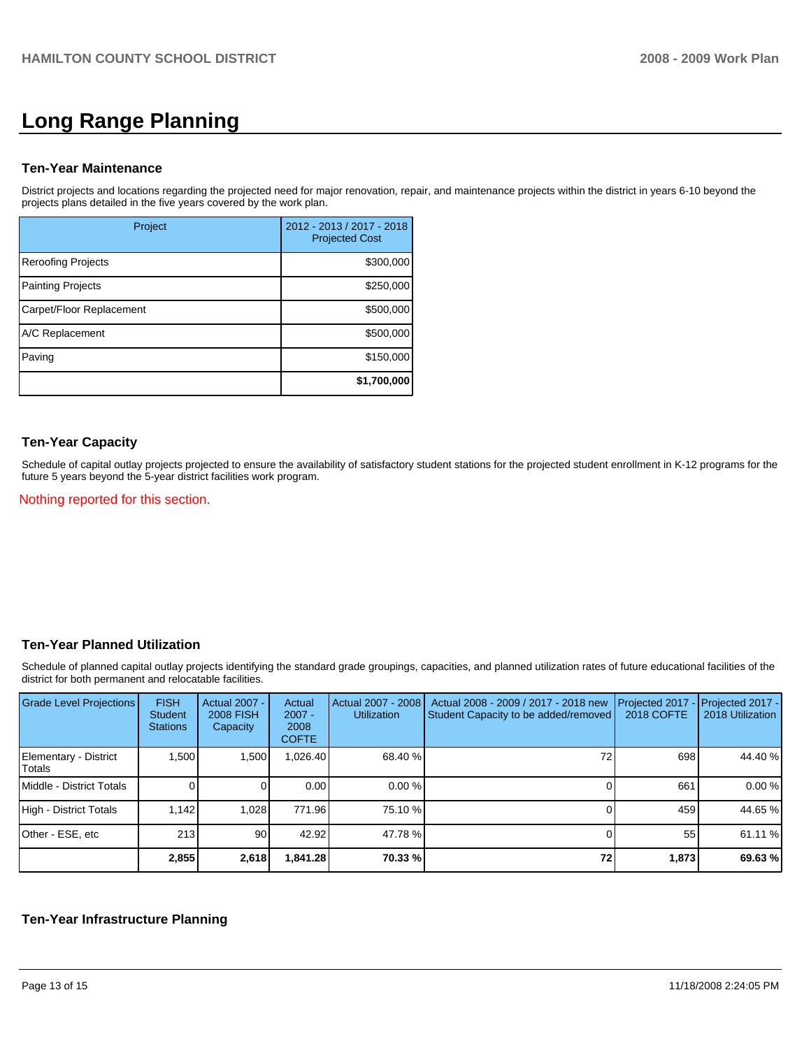# **Long Range Planning**

#### **Ten-Year Maintenance**

District projects and locations regarding the projected need for major renovation, repair, and maintenance projects within the district in years 6-10 beyond the projects plans detailed in the five years covered by the work plan.

| Project                   | 2012 - 2013 / 2017 - 2018<br><b>Projected Cost</b> |
|---------------------------|----------------------------------------------------|
| <b>Reroofing Projects</b> | \$300,000                                          |
| <b>Painting Projects</b>  | \$250,000                                          |
| Carpet/Floor Replacement  | \$500,000                                          |
| A/C Replacement           | \$500,000                                          |
| Paving                    | \$150,000                                          |
|                           | \$1,700,000                                        |

### **Ten-Year Capacity**

Schedule of capital outlay projects projected to ensure the availability of satisfactory student stations for the projected student enrollment in K-12 programs for the future 5 years beyond the 5-year district facilities work program.

#### Nothing reported for this section.

#### **Ten-Year Planned Utilization**

Schedule of planned capital outlay projects identifying the standard grade groupings, capacities, and planned utilization rates of future educational facilities of the district for both permanent and relocatable facilities.

| Grade Level Projections         | <b>FISH</b><br>Student<br><b>Stations</b> | Actual 2007 -<br><b>2008 FISH</b><br>Capacity | Actual<br>$2007 -$<br>2008<br><b>COFTE</b> | Actual 2007 - 2008<br><b>Utilization</b> | Actual 2008 - 2009 / 2017 - 2018 new<br>Student Capacity to be added/removed | Projected 2017<br>2018 COFTE | $-$ Projected 2017 -<br>2018 Utilization |
|---------------------------------|-------------------------------------------|-----------------------------------------------|--------------------------------------------|------------------------------------------|------------------------------------------------------------------------------|------------------------------|------------------------------------------|
| Elementary - District<br>Totals | 1,500                                     | 1,500                                         | 026.40.                                    | 68.40 %                                  |                                                                              | 698                          | 44.40 %                                  |
| Middle - District Totals        |                                           |                                               | 0.00                                       | 0.00%                                    |                                                                              | 661                          | 0.00%                                    |
| High - District Totals          | 1.142                                     | 1,028                                         | 771.96                                     | 75.10 %                                  |                                                                              | 459                          | 44.65 %                                  |
| Other - ESE, etc                | 213                                       | 901                                           | 42.92                                      | 47.78 %                                  |                                                                              | 55                           | 61.11 %                                  |
|                                 | 2,855                                     | 2,618                                         | 841.28.                                    | 70.33 %                                  | 72 <sub>1</sub>                                                              | 1,873                        | 69.63%                                   |

#### **Ten-Year Infrastructure Planning**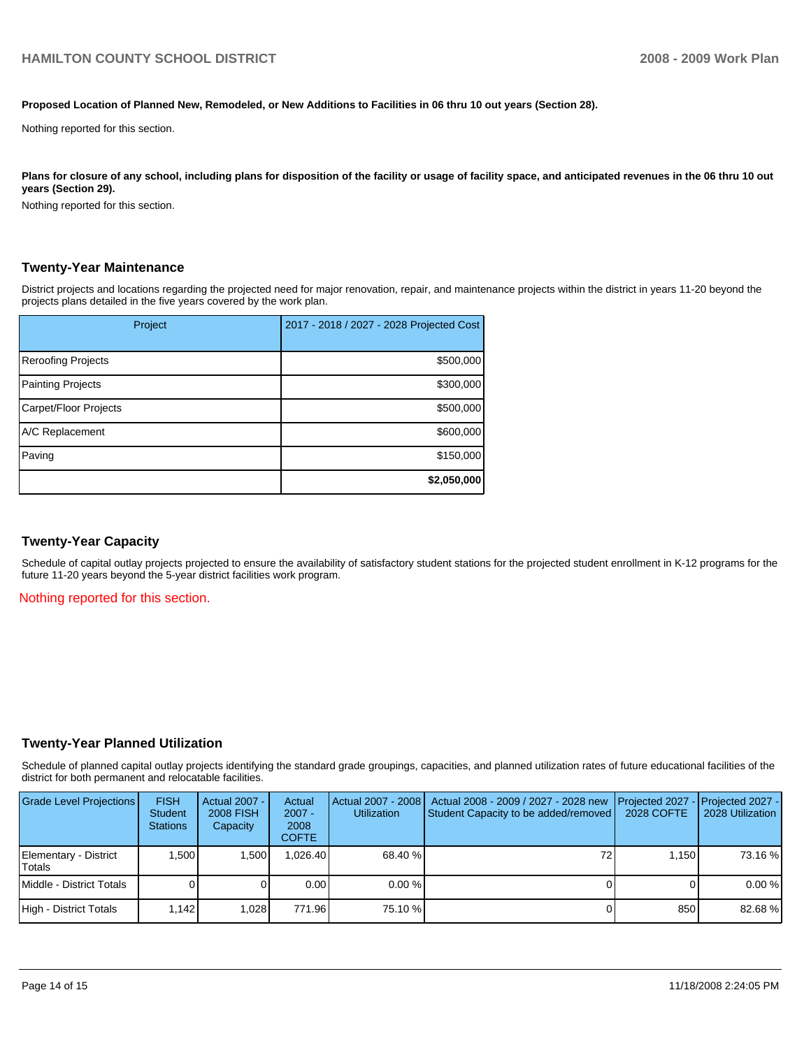#### **Proposed Location of Planned New, Remodeled, or New Additions to Facilities in 06 thru 10 out years (Section 28).**

Nothing reported for this section.

Plans for closure of any school, including plans for disposition of the facility or usage of facility space, and anticipated revenues in the 06 thru 10 out **years (Section 29).** 

Nothing reported for this section.

#### **Twenty-Year Maintenance**

District projects and locations regarding the projected need for major renovation, repair, and maintenance projects within the district in years 11-20 beyond the projects plans detailed in the five years covered by the work plan.

| Project                   | 2017 - 2018 / 2027 - 2028 Projected Cost |
|---------------------------|------------------------------------------|
| <b>Reroofing Projects</b> | \$500,000                                |
| <b>Painting Projects</b>  | \$300,000                                |
| Carpet/Floor Projects     | \$500,000                                |
| A/C Replacement           | \$600,000                                |
| Paving                    | \$150,000                                |
|                           | \$2,050,000                              |

#### **Twenty-Year Capacity**

Schedule of capital outlay projects projected to ensure the availability of satisfactory student stations for the projected student enrollment in K-12 programs for the future 11-20 years beyond the 5-year district facilities work program.

Nothing reported for this section.

#### **Twenty-Year Planned Utilization**

Schedule of planned capital outlay projects identifying the standard grade groupings, capacities, and planned utilization rates of future educational facilities of the district for both permanent and relocatable facilities.

| <b>Grade Level Projections</b>  | <b>FISH</b><br><b>Student</b><br><b>Stations</b> | Actual 2007 -<br><b>2008 FISH</b><br>Capacity | Actual<br>$2007 -$<br>2008<br><b>COFTE</b> | <b>Utilization</b> | Actual 2007 - 2008   Actual 2008 - 2009 / 2027 - 2028 new<br>Student Capacity to be added/removed | 2028 COFTE | <b>I</b> Projected 2027 - <b>I</b> Projected 2027 -<br>2028 Utilization |
|---------------------------------|--------------------------------------------------|-----------------------------------------------|--------------------------------------------|--------------------|---------------------------------------------------------------------------------------------------|------------|-------------------------------------------------------------------------|
| Elementary - District<br>Totals | 1.500                                            | 1.500                                         | .026.40                                    | 68.40 %            | 72                                                                                                | 1.150      | 73.16 %                                                                 |
| Middle - District Totals        |                                                  |                                               | 0.00                                       | $0.00\%$           |                                                                                                   |            | 0.00%                                                                   |
| High - District Totals          | 1.142                                            | 1.028                                         | 771.96                                     | 75.10 %            |                                                                                                   | 850        | 82.68%                                                                  |